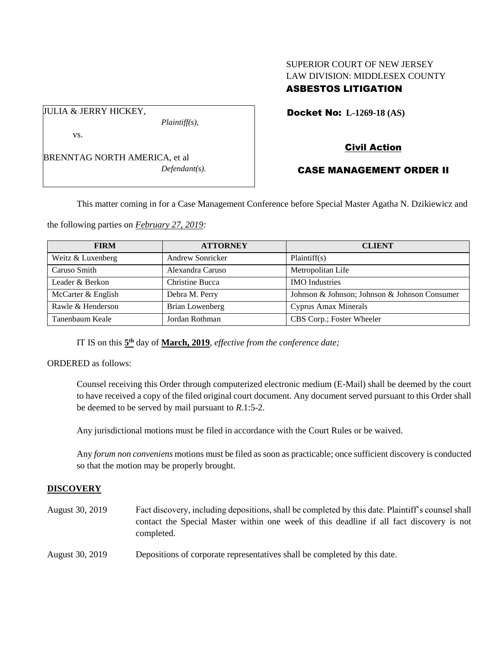## SUPERIOR COURT OF NEW JERSEY LAW DIVISION: MIDDLESEX COUNTY ASBESTOS LITIGATION

Docket No: **L-1269-18 (AS)** 

vs.

JULIA & JERRY HICKEY,

BRENNTAG NORTH AMERICA, et al *Defendant(s).*

*Plaintiff(s),*

Civil Action

# CASE MANAGEMENT ORDER II

This matter coming in for a Case Management Conference before Special Master Agatha N. Dzikiewicz and

the following parties on *February 27, 2019:*

| <b>FIRM</b>        | <b>ATTORNEY</b>         | <b>CLIENT</b>                                 |
|--------------------|-------------------------|-----------------------------------------------|
| Weitz & Luxenberg  | <b>Andrew Sonricker</b> | Plaintiff(s)                                  |
| Caruso Smith       | Alexandra Caruso        | Metropolitan Life                             |
| Leader & Berkon    | Christine Bucca         | <b>IMO</b> Industries                         |
| McCarter & English | Debra M. Perry          | Johnson & Johnson; Johnson & Johnson Consumer |
| Rawle & Henderson  | Brian Lowenberg         | <b>Cyprus Amax Minerals</b>                   |
| Tanenbaum Keale    | Jordan Rothman          | CBS Corp.; Foster Wheeler                     |

IT IS on this  $5<sup>th</sup>$  day of **March, 2019**, *effective from the conference date*;

ORDERED as follows:

Counsel receiving this Order through computerized electronic medium (E-Mail) shall be deemed by the court to have received a copy of the filed original court document. Any document served pursuant to this Order shall be deemed to be served by mail pursuant to *R*.1:5-2.

Any jurisdictional motions must be filed in accordance with the Court Rules or be waived.

Any *forum non conveniens* motions must be filed as soon as practicable; once sufficient discovery is conducted so that the motion may be properly brought.

### **DISCOVERY**

- August 30, 2019 Fact discovery, including depositions, shall be completed by this date. Plaintiff's counsel shall contact the Special Master within one week of this deadline if all fact discovery is not completed.
- August 30, 2019 Depositions of corporate representatives shall be completed by this date.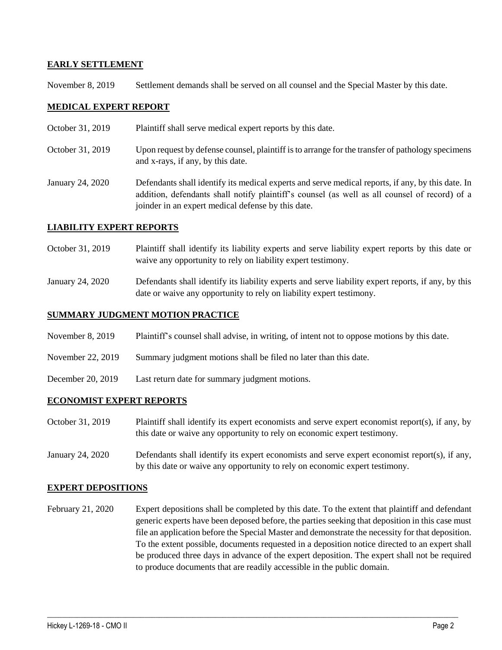### **EARLY SETTLEMENT**

November 8, 2019 Settlement demands shall be served on all counsel and the Special Master by this date.

### **MEDICAL EXPERT REPORT**

- October 31, 2019 Plaintiff shall serve medical expert reports by this date.
- October 31, 2019 Upon request by defense counsel, plaintiff is to arrange for the transfer of pathology specimens and x-rays, if any, by this date.
- January 24, 2020 Defendants shall identify its medical experts and serve medical reports, if any, by this date. In addition, defendants shall notify plaintiff's counsel (as well as all counsel of record) of a joinder in an expert medical defense by this date.

### **LIABILITY EXPERT REPORTS**

- October 31, 2019 Plaintiff shall identify its liability experts and serve liability expert reports by this date or waive any opportunity to rely on liability expert testimony.
- January 24, 2020 Defendants shall identify its liability experts and serve liability expert reports, if any, by this date or waive any opportunity to rely on liability expert testimony.

### **SUMMARY JUDGMENT MOTION PRACTICE**

- November 8, 2019 Plaintiff's counsel shall advise, in writing, of intent not to oppose motions by this date.
- November 22, 2019 Summary judgment motions shall be filed no later than this date.
- December 20, 2019 Last return date for summary judgment motions.

#### **ECONOMIST EXPERT REPORTS**

- October 31, 2019 Plaintiff shall identify its expert economists and serve expert economist report(s), if any, by this date or waive any opportunity to rely on economic expert testimony.
- January 24, 2020 Defendants shall identify its expert economists and serve expert economist report(s), if any, by this date or waive any opportunity to rely on economic expert testimony.

#### **EXPERT DEPOSITIONS**

February 21, 2020 Expert depositions shall be completed by this date. To the extent that plaintiff and defendant generic experts have been deposed before, the parties seeking that deposition in this case must file an application before the Special Master and demonstrate the necessity for that deposition. To the extent possible, documents requested in a deposition notice directed to an expert shall be produced three days in advance of the expert deposition. The expert shall not be required to produce documents that are readily accessible in the public domain.

 $\_$  ,  $\_$  ,  $\_$  ,  $\_$  ,  $\_$  ,  $\_$  ,  $\_$  ,  $\_$  ,  $\_$  ,  $\_$  ,  $\_$  ,  $\_$  ,  $\_$  ,  $\_$  ,  $\_$  ,  $\_$  ,  $\_$  ,  $\_$  ,  $\_$  ,  $\_$  ,  $\_$  ,  $\_$  ,  $\_$  ,  $\_$  ,  $\_$  ,  $\_$  ,  $\_$  ,  $\_$  ,  $\_$  ,  $\_$  ,  $\_$  ,  $\_$  ,  $\_$  ,  $\_$  ,  $\_$  ,  $\_$  ,  $\_$  ,